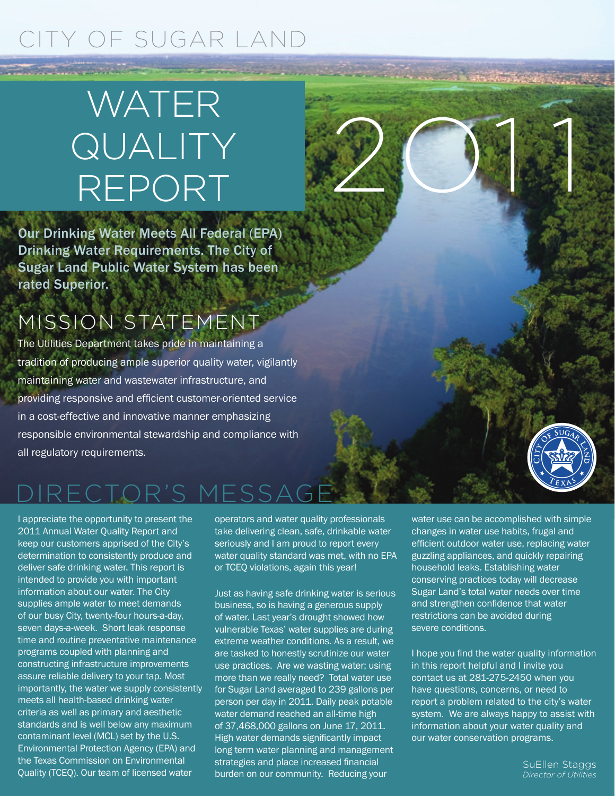## CITY OF SUGAR LAND

# WATER QUALITY REPORT

Our Drinking Water Meets All Federal (EPA) Drinking Water Requirements. The City of Sugar Land Public Water System has been rated Superior.

## MISSION STATEMENT

The Utilities Department takes pride in maintaining a tradition of producing ample superior quality water, vigilantly maintaining water and wastewater infrastructure, and providing responsive and efficient customer-oriented service in a cost-effective and innovative manner emphasizing responsible environmental stewardship and compliance with all regulatory requirements.

## DIRECTOR'S MESSA

I appreciate the opportunity to present the 2011 Annual Water Quality Report and keep our customers apprised of the City's determination to consistently produce and deliver safe drinking water. This report is intended to provide you with important information about our water. The City supplies ample water to meet demands of our busy City, twenty-four hours-a-day, seven days-a-week. Short leak response time and routine preventative maintenance programs coupled with planning and constructing infrastructure improvements assure reliable delivery to your tap. Most importantly, the water we supply consistently meets all health-based drinking water criteria as well as primary and aesthetic standards and is well below any maximum contaminant level (MCL) set by the U.S. Environmental Protection Agency (EPA) and the Texas Commission on Environmental Quality (TCEQ). Our team of licensed water

operators and water quality professionals take delivering clean, safe, drinkable water seriously and I am proud to report every water quality standard was met, with no EPA or TCEQ violations, again this year!

Just as having safe drinking water is serious business, so is having a generous supply of water. Last year's drought showed how vulnerable Texas' water supplies are during extreme weather conditions. As a result, we are tasked to honestly scrutinize our water use practices. Are we wasting water; using more than we really need? Total water use for Sugar Land averaged to 239 gallons per person per day in 2011. Daily peak potable water demand reached an all-time high of 37,468,000 gallons on June 17, 2011. High water demands significantly impact long term water planning and management strategies and place increased financial burden on our community. Reducing your

water use can be accomplished with simple changes in water use habits, frugal and efficient outdoor water use, replacing water guzzling appliances, and quickly repairing household leaks. Establishing water conserving practices today will decrease Sugar Land's total water needs over time and strengthen confidence that water restrictions can be avoided during severe conditions.

2O1 1

**Commission of the Australian Commission** 

I hope you find the water quality information in this report helpful and I invite you contact us at 281-275-2450 when you have questions, concerns, or need to report a problem related to the city's water system. We are always happy to assist with information about your water quality and our water conservation programs.

> SuEllen Staggs *Director of Utilities*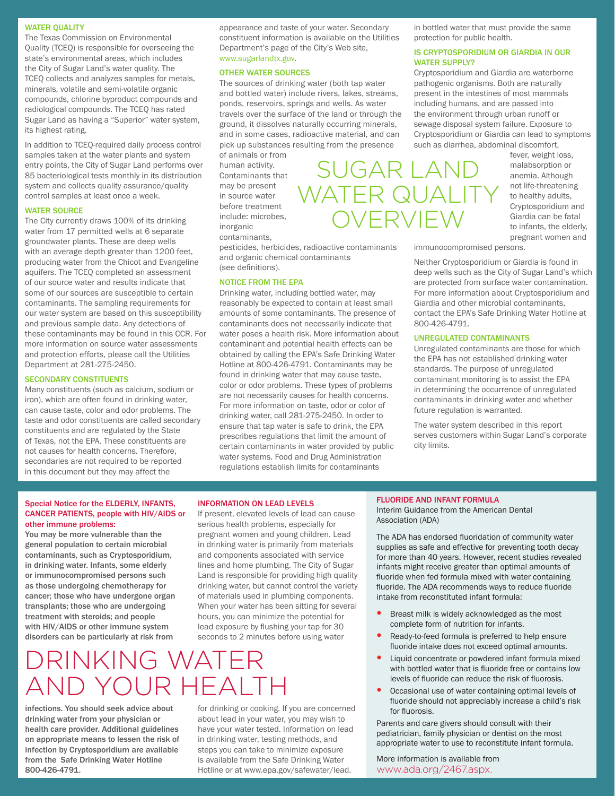### WATER OUALITY

The Texas Commission on Environmental Quality (TCEQ) is responsible for overseeing the state's environmental areas, which includes the City of Sugar Land's water quality. The TCEQ collects and analyzes samples for metals, minerals, volatile and semi-volatile organic compounds, chlorine byproduct compounds and radiological compounds. The TCEQ has rated Sugar Land as having a "Superior" water system, its highest rating.

In addition to TCEQ-required daily process control samples taken at the water plants and system entry points, the City of Sugar Land performs over 85 bacteriological tests monthly in its distribution system and collects quality assurance/quality control samples at least once a week.

## WATER SOURCE

The City currently draws 100% of its drinking water from 17 permitted wells at 6 separate groundwater plants. These are deep wells with an average depth greater than 1200 feet, producing water from the Chicot and Evangeline aquifers. The TCEQ completed an assessment of our source water and results indicate that some of our sources are susceptible to certain contaminants. The sampling requirements for our water system are based on this susceptibility and previous sample data. Any detections of these contaminants may be found in this CCR. For more information on source water assessments and protection efforts, please call the Utilities Department at 281-275-2450.

#### SECONDARY CONSTITUENTS

Many constituents (such as calcium, sodium or iron), which are often found in drinking water, can cause taste, color and odor problems. The taste and odor constituents are called secondary constituents and are regulated by the State of Texas, not the EPA. These constituents are not causes for health concerns. Therefore, secondaries are not required to be reported in this document but they may affect the

appearance and taste of your water. Secondary constituent information is available on the Utilities Department's page of the City's Web site, www.sugarlandtx.gov.

#### OTHER WATER SOURCES

The sources of drinking water (both tap water and bottled water) include rivers, lakes, streams, ponds, reservoirs, springs and wells. As water travels over the surface of the land or through the ground, it dissolves naturally occurring minerals, and in some cases, radioactive material, and can pick up substances resulting from the presence

of animals or from human activity. Contaminants that may be present in source water before treatment include: microbes, inorganic contaminants,

pesticides, herbicides, radioactive contaminants and organic chemical contaminants (see definitions).

### NOTICE FROM THE EPA

Drinking water, including bottled water, may reasonably be expected to contain at least small amounts of some contaminants. The presence of contaminants does not necessarily indicate that water poses a health risk. More information about contaminant and potential health effects can be obtained by calling the EPA's Safe Drinking Water Hotline at 800-426-4791. Contaminants may be found in drinking water that may cause taste, color or odor problems. These types of problems are not necessarily causes for health concerns. For more information on taste, odor or color of drinking water, call 281-275-2450. In order to ensure that tap water is safe to drink, the EPA prescribes regulations that limit the amount of certain contaminants in water provided by public water systems. Food and Drug Administration regulations establish limits for contaminants

in bottled water that must provide the same protection for public health.

### IS CRYPTOSPORIDIUM OR GIARDIA IN OUR WATER SUPPLY?

Cryptosporidium and Giardia are waterborne pathogenic organisms. Both are naturally present in the intestines of most mammals including humans, and are passed into the environment through urban runoff or sewage disposal system failure. Exposure to Cryptosporidium or Giardia can lead to symptoms such as diarrhea, abdominal discomfort,

fever, weight loss, malabsorption or anemia. Although not life-threatening to healthy adults, Cryptosporidium and Giardia can be fatal to infants, the elderly, pregnant women and

immunocompromised persons.

Neither Cryptosporidium or Giardia is found in deep wells such as the City of Sugar Land's which are protected from surface water contamination. For more information about Cryptosporidium and Giardia and other microbial contaminants, contact the EPA's Safe Drinking Water Hotline at 800-426-4791.

### UNREGULATED CONTAMINANTS

Unregulated contaminants are those for which the EPA has not established drinking water standards. The purpose of unregulated contaminant monitoring is to assist the EPA in determining the occurrence of unregulated contaminants in drinking water and whether future regulation is warranted.

The water system described in this report serves customers within Sugar Land's corporate city limits.

### Special Notice for the ELDERLY, INFANTS, CANCER PATIENTS, people with HIV/AIDS or other immune problems:

You may be more vulnerable than the general population to certain microbial contaminants, such as Cryptosporidium, in drinking water. Infants, some elderly or immunocompromised persons such as those undergoing chemotherapy for cancer; those who have undergone organ transplants; those who are undergoing treatment with steroids; and people with HIV/AIDS or other immune system disorders can be particularly at risk from

#### INFORMATION ON LEAD LEVELS

If present, elevated levels of lead can cause serious health problems, especially for pregnant women and young children. Lead in drinking water is primarily from materials and components associated with service lines and home plumbing. The City of Sugar Land is responsible for providing high quality drinking water, but cannot control the variety of materials used in plumbing components. When your water has been sitting for several hours, you can minimize the potential for lead exposure by flushing your tap for 30 seconds to 2 minutes before using water

## DRINKING WATER AND YOUR HEALTH

infections. You should seek advice about drinking water from your physician or health care provider. Additional guidelines on appropriate means to lessen the risk of infection by Cryptosporidium are available from the Safe Drinking Water Hotline 800-426-4791.

for drinking or cooking. If you are concerned about lead in your water, you may wish to have your water tested. Information on lead in drinking water, testing methods, and steps you can take to minimize exposure is available from the Safe Drinking Water Hotline or at www.epa.gov/safewater/lead.

#### FLUORIDE AND INFANT FORMULA

Interim Guidance from the American Dental Association (ADA)

The ADA has endorsed fluoridation of community water supplies as safe and effective for preventing tooth decay for more than 40 years. However, recent studies revealed infants might receive greater than optimal amounts of fluoride when fed formula mixed with water containing fluoride. The ADA recommends ways to reduce fluoride intake from reconstituted infant formula:

- Breast milk is widely acknowledged as the most complete form of nutrition for infants.
- Ready-to-feed formula is preferred to help ensure fluoride intake does not exceed optimal amounts.
- Liquid concentrate or powdered infant formula mixed with bottled water that is fluoride free or contains low levels of fluoride can reduce the risk of fluorosis.
- Occasional use of water containing optimal levels of fluoride should not appreciably increase a child's risk for fluorosis.

Parents and care givers should consult with their pediatrician, family physician or dentist on the most appropriate water to use to reconstitute infant formula.

More information is available from www.ada.org/2467.aspx.

SUGAR LAND WATER QUALIT OVERVIEW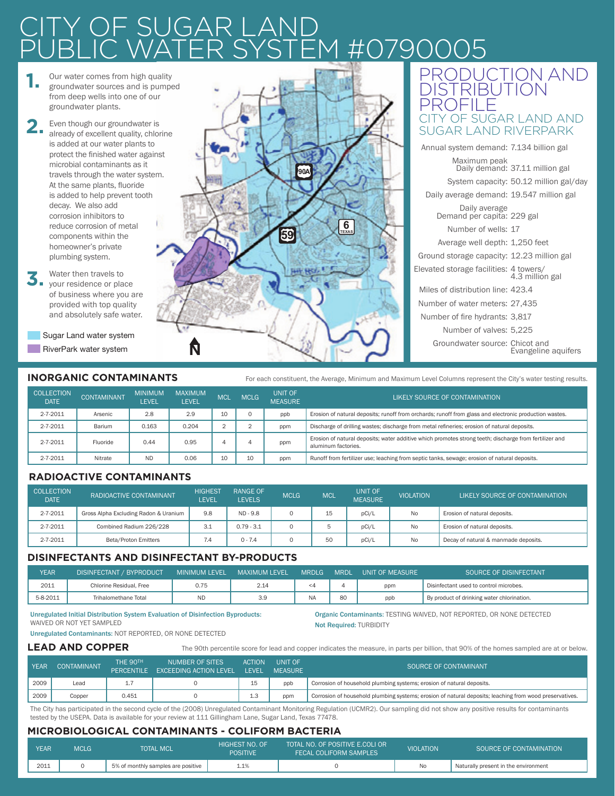## <sup>:</sup> SUGAR LA 07900<sup>(</sup>

- **1.**  Our water comes from high quality groundwater sources and is pumped from deep wells into one of our groundwater plants.
- **2.**  Even though our groundwater is already of excellent quality, chlorine is added at our water plants to protect the finished water against microbial contaminants as it travels through the water system. At the same plants, fluoride is added to help prevent tooth decay. We also add corrosion inhibitors to reduce corrosion of metal components within the homeowner's private plumbing system.
- **3.**  Water then travels to your residence or place of business where you are provided with top quality and absolutely safe water.
	- Sugar Land water system RiverPark water system N



## PRODUCTION AND **DISTRIBUTION** PROFILE Y OF SUGAR LAND AND SUGAR LAND RIVERPARK

| Annual system demand: 7.134 billion gal     |                                        |
|---------------------------------------------|----------------------------------------|
| Maximum peak                                | Daily demand: 37.11 million gal        |
|                                             | System capacity: 50.12 million gal/day |
| Daily average demand: 19.547 million gal    |                                        |
| Daily average<br>Demand per capita: 229 gal |                                        |
| Number of wells: 17                         |                                        |
| Average well depth: 1,250 feet              |                                        |
| Ground storage capacity: 12.23 million gal  |                                        |
| Elevated storage facilities: 4 towers/      | 4.3 million gal                        |
| Miles of distribution line: 423.4           |                                        |
| Number of water meters: 27,435              |                                        |
| Number of fire hydrants: 3,817              |                                        |
| Number of valves: 5,225                     |                                        |
| Groundwater source: Chicot and              | Evangeline aquifers                    |
|                                             |                                        |

## **INORGANIC CONTAMINANTS**

For each constituent, the Average, Minimum and Maximum Level Columns represent the City's water testing results.

| <b>COLLECTION</b><br><b>DATE</b> | <b>CONTAMINANT</b> | <b>MINIMUM</b><br>LEVEL | <b>MAXIMUM</b><br><b>LEVEL</b> | MCL | <b>MCLG</b> | <b>UNIT OF</b><br><b>MEASURE</b> | LIKELY SOURCE OF CONTAMINATION                                                                                                |  |
|----------------------------------|--------------------|-------------------------|--------------------------------|-----|-------------|----------------------------------|-------------------------------------------------------------------------------------------------------------------------------|--|
| $2 - 7 - 2011$                   | Arsenic            | 2.8                     | 2.9                            | 10  |             | ppb                              | Erosion of natural deposits; runoff from orchards; runoff from glass and electronic production wastes.                        |  |
| 2-7-2011                         | Barium             | 0.163                   | 0.204                          |     |             | ppm                              | Discharge of drilling wastes; discharge from metal refineries; erosion of natural deposits.                                   |  |
| 2-7-2011                         | Fluoride           | 0.44                    | 0.95                           |     |             | ppm                              | Erosion of natural deposits; water additive which promotes strong teeth; discharge from fertilizer and<br>aluminum factories. |  |
| $2 - 7 - 2011$                   | Nitrate            | <b>ND</b>               | 0.06                           | 10  | 10          | ppm                              | Runoff from fertilizer use; leaching from septic tanks, sewage; erosion of natural deposits.                                  |  |

## **RADIOACTIVE CONTAMINANTS**

| <b>COLLECTION</b><br><b>DATE</b> | RADIOACTIVE CONTAMINANT               | <b>HIGHEST</b><br>LEVEL | <b>RANGE OF</b><br><b>LEVELS</b> | <b>MCLG</b> | <b>MCL</b> | UNIT OF<br><b>MEASURE</b> | <b>VIOLATION</b> | LIKELY SOURCE OF CONTAMINATION       |
|----------------------------------|---------------------------------------|-------------------------|----------------------------------|-------------|------------|---------------------------|------------------|--------------------------------------|
| 2-7-2011                         | Gross Alpha Excluding Radon & Uranium | 9.8                     | ND - 9.8                         |             | 15         | pCi/L                     | No               | Erosion of natural deposits.         |
| 2-7-2011                         | Combined Radium 226/228               | 3.1                     | $0.79 - 3.1$                     |             |            | pCi/L                     | No               | Erosion of natural deposits.         |
| 2-7-2011                         | Beta/Proton Emitters                  | 7.4                     | $0 - 7.4$                        |             | 50         | pCi/L                     | <b>No</b>        | Decay of natural & manmade deposits. |

## **DISINFECTANTS AND DISINFECTANT BY-PRODUCTS**

| YEAR     | DISINFECTANT / BYPRODUCT | <b>MINIMUM LEVEL</b> | <b>MAXIMUM LEVEL</b> | <b>MRDLG</b> | <b>MRDL</b> | UNIT OF MEASURE | SOURCE OF DISINFECTANT                     |
|----------|--------------------------|----------------------|----------------------|--------------|-------------|-----------------|--------------------------------------------|
| 2011     | Chlorine Residual, Free  | 0.75                 | 2.14                 | <4           |             | ppm             | Disinfectant used to control microbes.     |
| 5-8-2011 | Trihalomethane Total     | ND                   | 3.9                  |              | 80          | ppb             | By product of drinking water chlorination. |

#### Unregulated Initial Distribution System Evaluation of Disinfection Byproducts: WAIVED OR NOT YET SAMPLED

Unregulated Contaminants: NOT REPORTED, OR NONE DETECTED

Organic Contaminants: TESTING WAIVED, NOT REPORTED, OR NONE DETECTED Not Required: TURBIDITY

The 90th percentile score for lead and copper indicates the measure, in parts per billion, that 90% of the homes sampled are at or below.

## **LEAD AND COPPER**

| <b>YEAR</b> | <b>CONTAMINANT</b> | THE 90TH | NUMBER OF SITES<br>PERCENTILE EXCEEDING ACTION LEVEL | <b>ACTION</b><br><b>LEVEL</b> | UNIT OF<br><b>MEASURE</b> | SOURCE OF CONTAMINANT                                                                                   |  |
|-------------|--------------------|----------|------------------------------------------------------|-------------------------------|---------------------------|---------------------------------------------------------------------------------------------------------|--|
| 2009        | Lead               | ر میلاد  |                                                      | 15                            | ppb                       | Corrosion of household plumbing systems; erosion of natural deposits.                                   |  |
| 2009        | Copper             | 0.451    |                                                      | 1.3                           | ppm                       | Corrosion of household plumbing systems; erosion of natural deposits; leaching from wood preservatives. |  |

The City has participated in the second cycle of the (2008) Unregulated Contaminant Monitoring Regulation (UCMR2). Our sampling did not show any positive results for contaminants tested by the USEPA. Data is available for your review at 111 Gillingham Lane, Sugar Land, Texas 77478.

## **MICROBIOLOGICAL CONTAMINANTS - COLIFORM BACTERIA**

| <b>YEAR</b> | MCLG | <b>TOTAL MCL</b>                   | HIGHEST NO. OF<br><b>POSITIVE</b> | TOTAL NO. OF POSITIVE E.COLI OR<br><b>FECAL COLIFORM SAMPLES</b> | <b>VIOLATION</b> | SOURCE OF CONTAMINATION              |
|-------------|------|------------------------------------|-----------------------------------|------------------------------------------------------------------|------------------|--------------------------------------|
| 2011        |      | 5% of monthly samples are positive | 1.1%                              |                                                                  | No               | Naturally present in the environment |